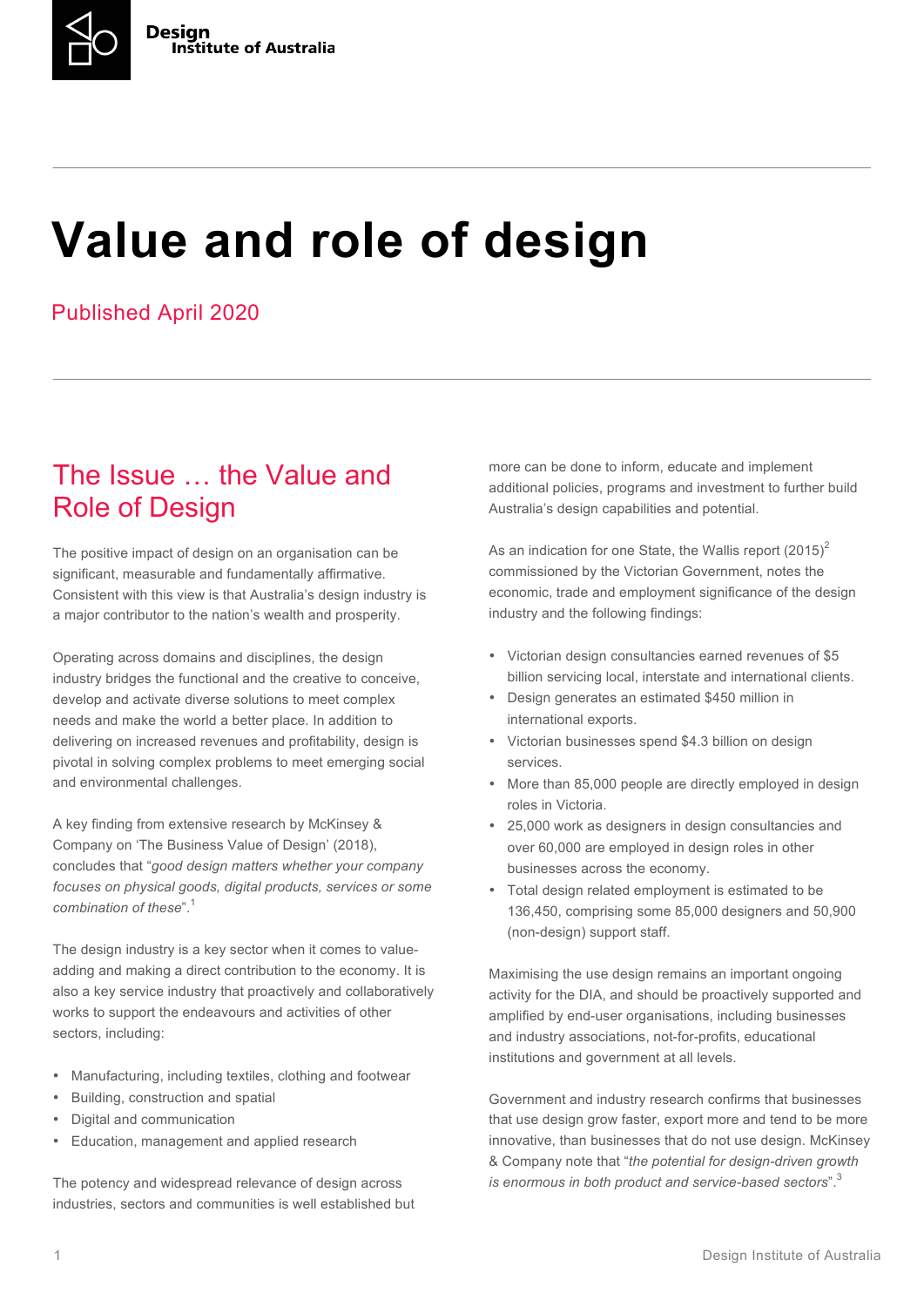

# **Value and role of design**

#### Published April 2020

### The Issue … the Value and Role of Design

The positive impact of design on an organisation can be significant, measurable and fundamentally affirmative. Consistent with this view is that Australia's design industry is a major contributor to the nation's wealth and prosperity.

Operating across domains and disciplines, the design industry bridges the functional and the creative to conceive, develop and activate diverse solutions to meet complex needs and make the world a better place. In addition to delivering on increased revenues and profitability, design is pivotal in solving complex problems to meet emerging social and environmental challenges.

A key finding from extensive research by McKinsey & Company on 'The Business Value of Design' (2018), concludes that "*good design matters whether your company focuses on physical goods, digital products, services or some combination of these*". 1

The design industry is a key sector when it comes to valueadding and making a direct contribution to the economy. It is also a key service industry that proactively and collaboratively works to support the endeavours and activities of other sectors, including:

- Manufacturing, including textiles, clothing and footwear
- Building, construction and spatial
- Digital and communication
- Education, management and applied research

The potency and widespread relevance of design across industries, sectors and communities is well established but more can be done to inform, educate and implement additional policies, programs and investment to further build Australia's design capabilities and potential.

As an indication for one State, the Wallis report  $(2015)^2$ commissioned by the Victorian Government, notes the economic, trade and employment significance of the design industry and the following findings:

- Victorian design consultancies earned revenues of \$5 billion servicing local, interstate and international clients.
- Design generates an estimated \$450 million in international exports.
- Victorian businesses spend \$4.3 billion on design services.
- More than 85,000 people are directly employed in design roles in Victoria.
- 25,000 work as designers in design consultancies and over 60,000 are employed in design roles in other businesses across the economy.
- Total design related employment is estimated to be 136,450, comprising some 85,000 designers and 50,900 (non-design) support staff.

Maximising the use design remains an important ongoing activity for the DIA, and should be proactively supported and amplified by end-user organisations, including businesses and industry associations, not-for-profits, educational institutions and government at all levels.

Government and industry research confirms that businesses that use design grow faster, export more and tend to be more innovative, than businesses that do not use design. McKinsey & Company note that "*the potential for design-driven growth is enormous in both product and service-based sectors*".<sup>3</sup>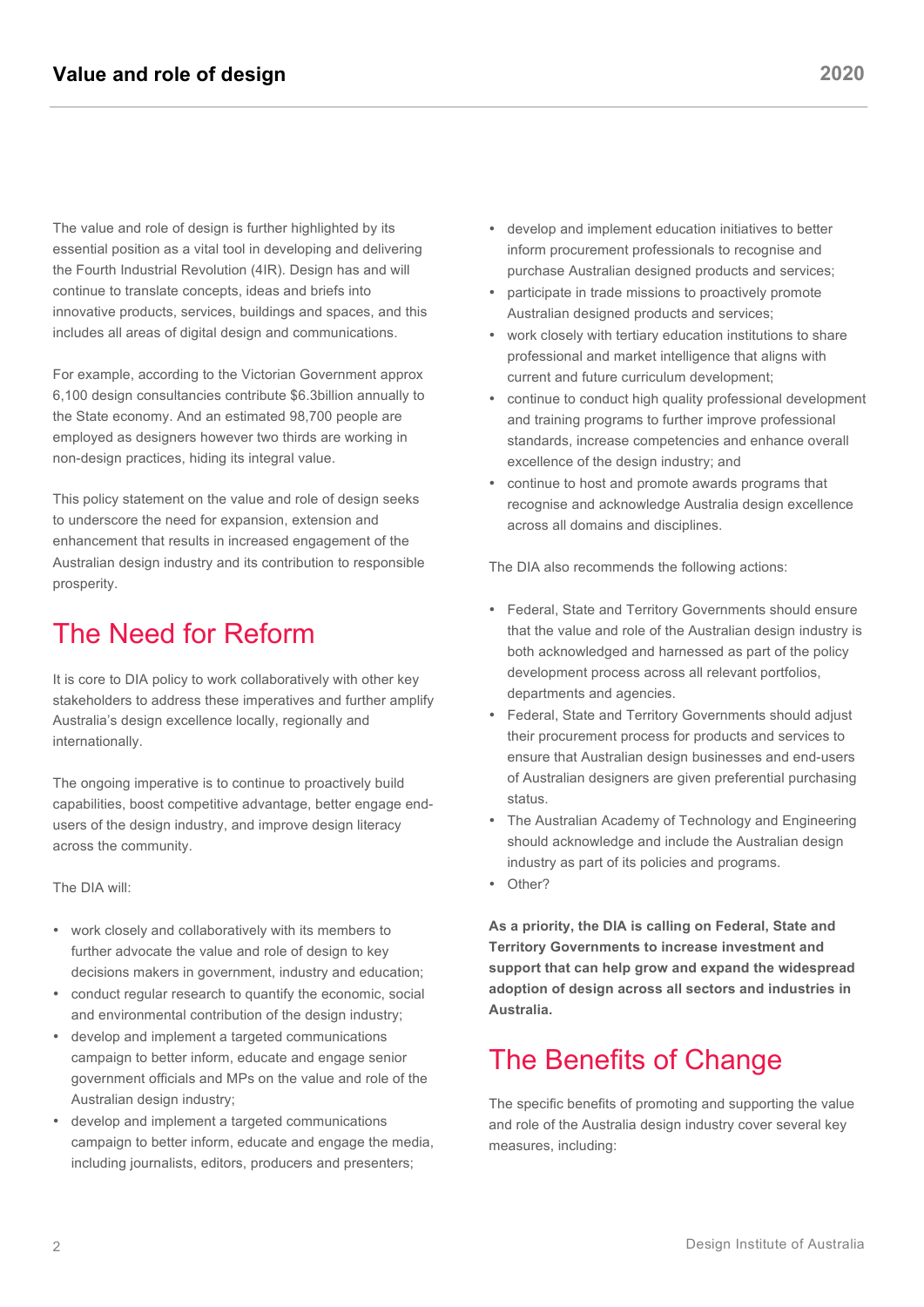The value and role of design is further highlighted by its essential position as a vital tool in developing and delivering the Fourth Industrial Revolution (4IR). Design has and will continue to translate concepts, ideas and briefs into innovative products, services, buildings and spaces, and this includes all areas of digital design and communications.

For example, according to the Victorian Government approx 6,100 design consultancies contribute \$6.3billion annually to the State economy. And an estimated 98,700 people are employed as designers however two thirds are working in non-design practices, hiding its integral value.

This policy statement on the value and role of design seeks to underscore the need for expansion, extension and enhancement that results in increased engagement of the Australian design industry and its contribution to responsible prosperity.

### The Need for Reform

It is core to DIA policy to work collaboratively with other key stakeholders to address these imperatives and further amplify Australia's design excellence locally, regionally and internationally.

The ongoing imperative is to continue to proactively build capabilities, boost competitive advantage, better engage endusers of the design industry, and improve design literacy across the community.

The DIA will:

- work closely and collaboratively with its members to further advocate the value and role of design to key decisions makers in government, industry and education;
- conduct regular research to quantify the economic, social and environmental contribution of the design industry;
- develop and implement a targeted communications campaign to better inform, educate and engage senior government officials and MPs on the value and role of the Australian design industry;
- develop and implement a targeted communications campaign to better inform, educate and engage the media, including journalists, editors, producers and presenters;
- develop and implement education initiatives to better inform procurement professionals to recognise and purchase Australian designed products and services;
- participate in trade missions to proactively promote Australian designed products and services;
- work closely with tertiary education institutions to share professional and market intelligence that aligns with current and future curriculum development;
- continue to conduct high quality professional development and training programs to further improve professional standards, increase competencies and enhance overall excellence of the design industry; and
- continue to host and promote awards programs that recognise and acknowledge Australia design excellence across all domains and disciplines.

The DIA also recommends the following actions:

- Federal, State and Territory Governments should ensure that the value and role of the Australian design industry is both acknowledged and harnessed as part of the policy development process across all relevant portfolios, departments and agencies.
- Federal, State and Territory Governments should adjust their procurement process for products and services to ensure that Australian design businesses and end-users of Australian designers are given preferential purchasing status.
- The Australian Academy of Technology and Engineering should acknowledge and include the Australian design industry as part of its policies and programs.
- Other?

**As a priority, the DIA is calling on Federal, State and Territory Governments to increase investment and support that can help grow and expand the widespread adoption of design across all sectors and industries in Australia.**

#### The Benefits of Change

The specific benefits of promoting and supporting the value and role of the Australia design industry cover several key measures, including: